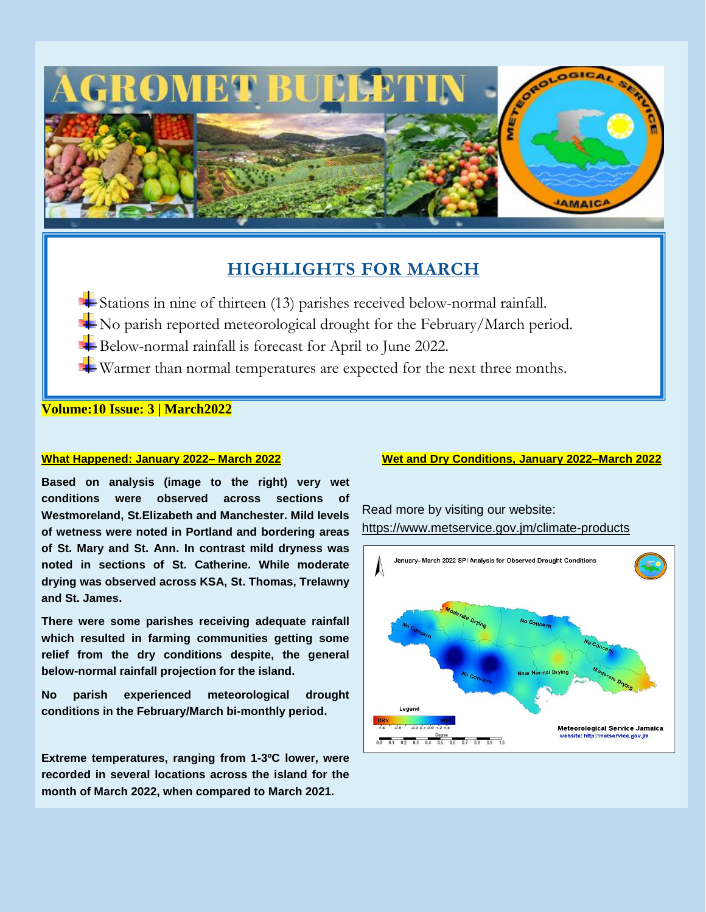

# **HIGHLIGHTS FOR MARCH**

- Stations in nine of thirteen (13) parishes received below-normal rainfall.
- $\blacktriangle$  No parish reported meteorological drought for the February/March period.
- Below-normal rainfall is forecast for April to June 2022.
- Warmer than normal temperatures are expected for the next three months.

**Volume:10 Issue: 3 | March2022**

## **What Happened: January 2022– March 2022**

**Based on analysis (image to the right) very wet conditions were observed across sections of Westmoreland, St.Elizabeth and Manchester. Mild levels of wetness were noted in Portland and bordering areas of St. Mary and St. Ann. In contrast mild dryness was noted in sections of St. Catherine. While moderate drying was observed across KSA, St. Thomas, Trelawny and St. James.**

**There were some parishes receiving adequate rainfall which resulted in farming communities getting some relief from the dry conditions despite, the general below-normal rainfall projection for the island.**

**No parish experienced meteorological drought conditions in the February/March bi-monthly period.** 

**Extreme temperatures, ranging from 1-3ºC lower, were recorded in several locations across the island for the month of March 2022, when compared to March 2021.**

## **Wet and Dry Conditions, January 2022–March 2022**

Read more by visiting our website: <https://www.metservice.gov.jm/climate-products>